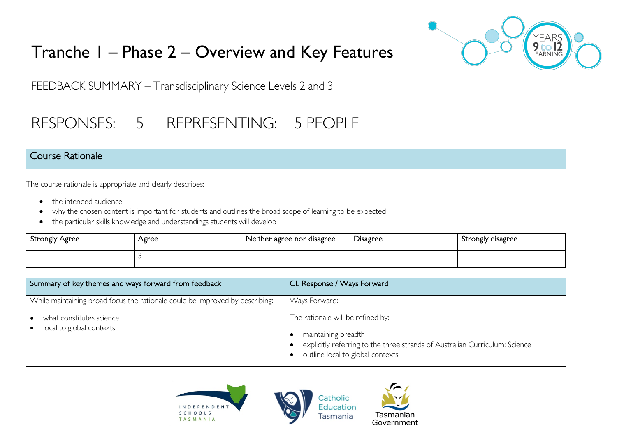# Tranche 1 – Phase 2 – Overview and Key Features



FEEDBACK SUMMARY – Transdisciplinary Science Levels 2 and 3

## RESPONSES: 5 REPRESENTING: 5 PEOPLE

#### Course Rationale

The course rationale is appropriate and clearly describes:

- the intended audience.
- why the chosen content is important for students and outlines the broad scope of learning to be expected
- the particular skills knowledge and understandings students will develop

| Strongly Agree | Agree | Neither agree nor disagree | Disagree | Strongly disagree |
|----------------|-------|----------------------------|----------|-------------------|
|                |       |                            |          |                   |

| Summary of key themes and ways forward from feedback                         | CL Response / Ways Forward                                                                                                                                                  |
|------------------------------------------------------------------------------|-----------------------------------------------------------------------------------------------------------------------------------------------------------------------------|
| While maintaining broad focus the rationale could be improved by describing: | Ways Forward:                                                                                                                                                               |
| what constitutes science<br>local to global contexts<br>$\bullet$            | The rationale will be refined by:<br>maintaining breadth<br>explicitly referring to the three strands of Australian Curriculum: Science<br>outline local to global contexts |





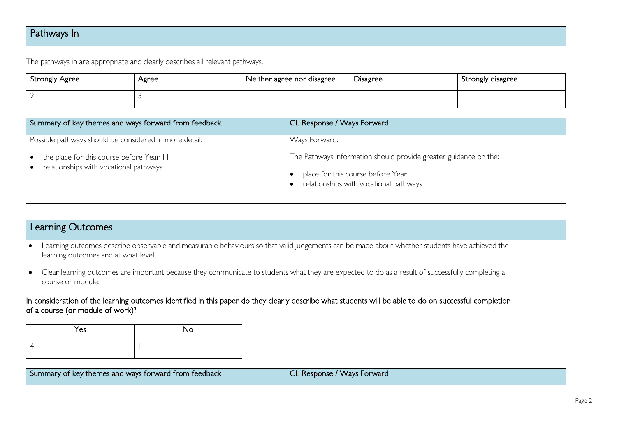## Pathways In

The pathways in are appropriate and clearly describes all relevant pathways.

| Strongly Agree           | Agree | Neither agree nor disagree | <b>Disagree</b> | Strongly disagree |
|--------------------------|-------|----------------------------|-----------------|-------------------|
| $\overline{\phantom{a}}$ |       |                            |                 |                   |

| Summary of key themes and ways forward from feedback                               | CL Response / Ways Forward                                                                                                                         |
|------------------------------------------------------------------------------------|----------------------------------------------------------------------------------------------------------------------------------------------------|
| Possible pathways should be considered in more detail:                             | Ways Forward:                                                                                                                                      |
| the place for this course before Year II<br>relationships with vocational pathways | The Pathways information should provide greater guidance on the:<br>place for this course before Year II<br>relationships with vocational pathways |

## Learning Outcomes

- Learning outcomes describe observable and measurable behaviours so that valid judgements can be made about whether students have achieved the learning outcomes and at what level.
- Clear learning outcomes are important because they communicate to students what they are expected to do as a result of successfully completing a course or module.

In consideration of the learning outcomes identified in this paper do they clearly describe what students will be able to do on successful completion of a course (or module of work)?

| Yes | No |
|-----|----|
|     |    |

| Summary of key themes and ways forward from feedback | CL Response / Ways Forward |
|------------------------------------------------------|----------------------------|
|                                                      |                            |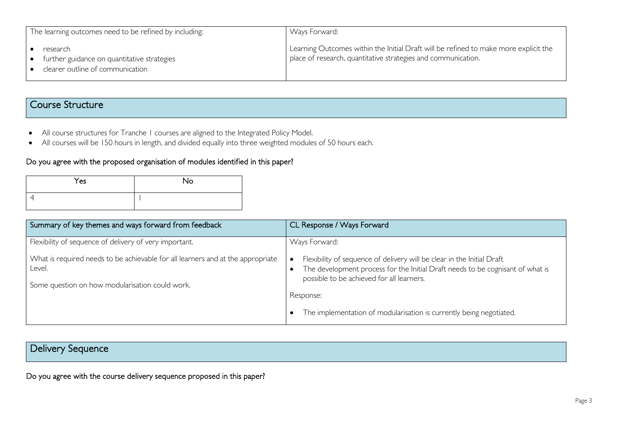| The learning outcomes need to be refined by including:                                      | Ways Forward:                                                                                                                                         |
|---------------------------------------------------------------------------------------------|-------------------------------------------------------------------------------------------------------------------------------------------------------|
| research<br>further guidance on quantitative strategies<br>clearer outline of communication | Learning Outcomes within the Initial Draft will be refined to make more explicit the<br>place of research, quantitative strategies and communication. |

## Course Structure

- All course structures for Tranche 1 courses are aligned to the Integrated Policy Model.
- All courses will be 150 hours in length, and divided equally into three weighted modules of 50 hours each.

#### Do you agree with the proposed organisation of modules identified in this paper?

| Yes | <b>No</b> |
|-----|-----------|
|     |           |

| Summary of key themes and ways forward from feedback                                                                                         | CL Response / Ways Forward                                                                                                                                                                            |
|----------------------------------------------------------------------------------------------------------------------------------------------|-------------------------------------------------------------------------------------------------------------------------------------------------------------------------------------------------------|
| Flexibility of sequence of delivery of very important.                                                                                       | Ways Forward:                                                                                                                                                                                         |
| What is required needs to be achievable for all learners and at the appropriate<br>Level.<br>Some question on how modularisation could work. | Flexibility of sequence of delivery will be clear in the Initial Draft<br>The development process for the Initial Draft needs to be cognisant of what is<br>possible to be achieved for all learners. |
|                                                                                                                                              | Response:                                                                                                                                                                                             |
|                                                                                                                                              | The implementation of modularisation is currently being negotiated.                                                                                                                                   |

## Delivery Sequence

Do you agree with the course delivery sequence proposed in this paper?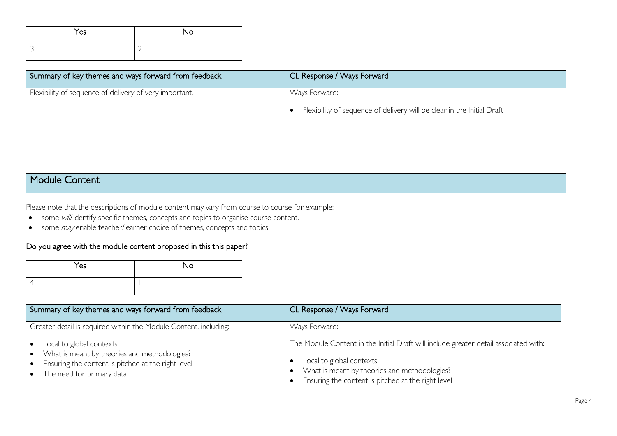| Yes | <b>No</b> |
|-----|-----------|
|     | ∽         |

| Summary of key themes and ways forward from feedback   | CL Response / Ways Forward                                             |
|--------------------------------------------------------|------------------------------------------------------------------------|
| Flexibility of sequence of delivery of very important. | Ways Forward:                                                          |
|                                                        | Flexibility of sequence of delivery will be clear in the Initial Draft |
|                                                        |                                                                        |
|                                                        |                                                                        |

## Module Content

Please note that the descriptions of module content may vary from course to course for example:

- some will identify specific themes, concepts and topics to organise course content.
- some *may* enable teacher/learner choice of themes, concepts and topics.

#### Do you agree with the module content proposed in this this paper?

| Yes | No |
|-----|----|
|     |    |

| Summary of key themes and ways forward from feedback                                                                                                        | CL Response / Ways Forward                                                                                                                                                                                             |
|-------------------------------------------------------------------------------------------------------------------------------------------------------------|------------------------------------------------------------------------------------------------------------------------------------------------------------------------------------------------------------------------|
| Greater detail is required within the Module Content, including:                                                                                            | Ways Forward:                                                                                                                                                                                                          |
| Local to global contexts<br>What is meant by theories and methodologies?<br>Ensuring the content is pitched at the right level<br>The need for primary data | The Module Content in the Initial Draft will include greater detail associated with:<br>Local to global contexts<br>What is meant by theories and methodologies?<br>Ensuring the content is pitched at the right level |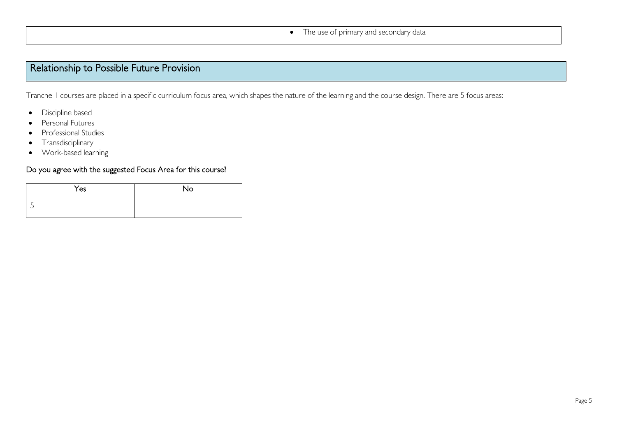| The use of primary and secondary data |
|---------------------------------------|
|                                       |

## Relationship to Possible Future Provision

Tranche 1 courses are placed in a specific curriculum focus area, which shapes the nature of the learning and the course design. There are 5 focus areas:

- Discipline based
- Personal Futures
- Professional Studies
- Transdisciplinary
- Work-based learning

#### Do you agree with the suggested Focus Area for this course?

| Yes | No |
|-----|----|
|     |    |